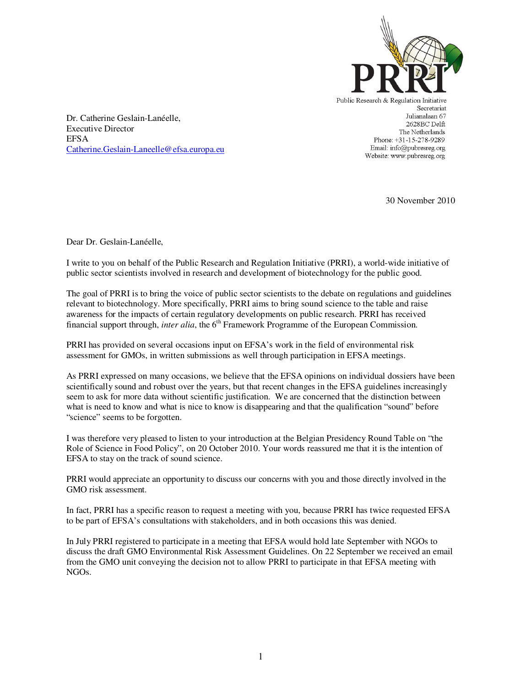

Public Research & Regulation Initiative Secretariat Julianalaan 67 2628BC Delft The Netherlands Phone: +31-15-278-9289 Email: info@pubresreg.org Website: www.pubresreg.org

Dr. Catherine Geslain-Lanéelle, Executive Director EFSA Catherine.Geslain-Laneelle@efsa.europa.eu

30 November 2010

Dear Dr. Geslain-Lanéelle,

I write to you on behalf of the Public Research and Regulation Initiative (PRRI), a world-wide initiative of public sector scientists involved in research and development of biotechnology for the public good.

The goal of PRRI is to bring the voice of public sector scientists to the debate on regulations and guidelines relevant to biotechnology. More specifically, PRRI aims to bring sound science to the table and raise awareness for the impacts of certain regulatory developments on public research. PRRI has received financial support through, *inter alia*, the 6<sup>th</sup> Framework Programme of the European Commission.

PRRI has provided on several occasions input on EFSA's work in the field of environmental risk assessment for GMOs, in written submissions as well through participation in EFSA meetings.

As PRRI expressed on many occasions, we believe that the EFSA opinions on individual dossiers have been scientifically sound and robust over the years, but that recent changes in the EFSA guidelines increasingly seem to ask for more data without scientific justification. We are concerned that the distinction between what is need to know and what is nice to know is disappearing and that the qualification "sound" before "science" seems to be forgotten.

I was therefore very pleased to listen to your introduction at the Belgian Presidency Round Table on "the Role of Science in Food Policy", on 20 October 2010. Your words reassured me that it is the intention of EFSA to stay on the track of sound science.

PRRI would appreciate an opportunity to discuss our concerns with you and those directly involved in the GMO risk assessment.

In fact, PRRI has a specific reason to request a meeting with you, because PRRI has twice requested EFSA to be part of EFSA's consultations with stakeholders, and in both occasions this was denied.

In July PRRI registered to participate in a meeting that EFSA would hold late September with NGOs to discuss the draft GMO Environmental Risk Assessment Guidelines. On 22 September we received an email from the GMO unit conveying the decision not to allow PRRI to participate in that EFSA meeting with NGOs.